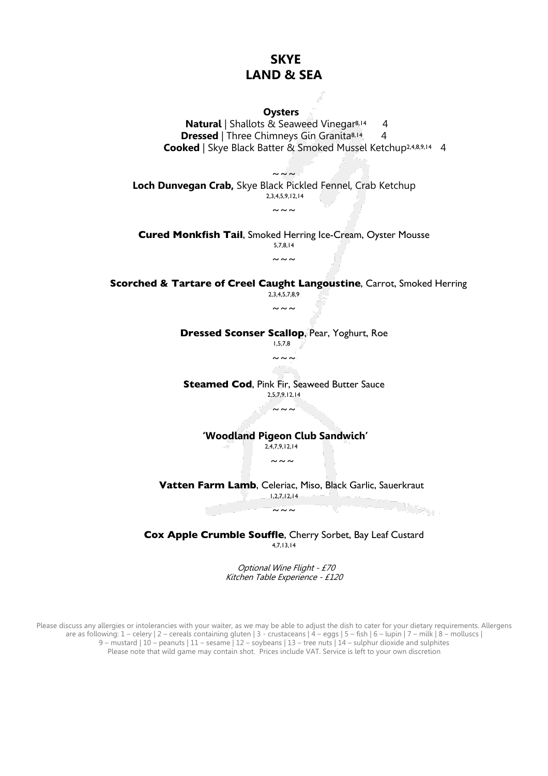

Optional Wine Flight - £70

Kitchen Table Experience - £120

Please discuss any allergies or intolerancies with your waiter, as we may be able to adjust the dish to cater for your dietary requirements. Allergens are as following: 1 – celery | 2 – cereals containing gluten | 3 - crustaceans | 4 – eggs | 5 – fish | 6 – lupin | 7 – milk | 8 – molluscs | 9 – mustard | 10 – peanuts | 11 – sesame | 12 – soybeans | 13 – tree nuts | 14 – sulphur dioxide and sulphites Please note that wild game may contain shot. Prices include VAT. Service is left to your own discretion